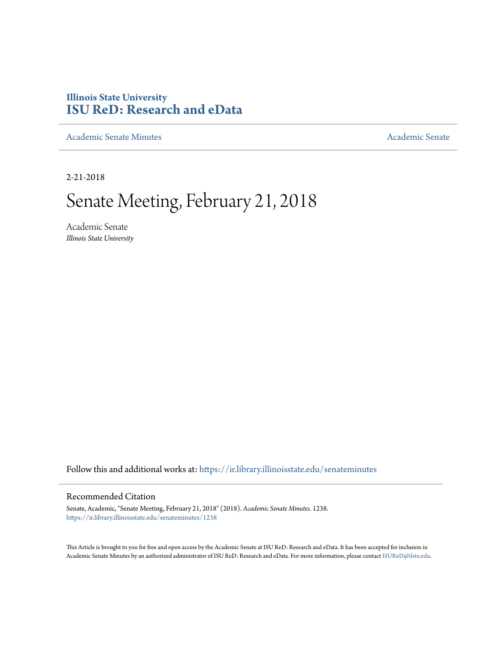# **Illinois State University [ISU ReD: Research and eData](https://ir.library.illinoisstate.edu?utm_source=ir.library.illinoisstate.edu%2Fsenateminutes%2F1238&utm_medium=PDF&utm_campaign=PDFCoverPages)**

[Academic Senate Minutes](https://ir.library.illinoisstate.edu/senateminutes?utm_source=ir.library.illinoisstate.edu%2Fsenateminutes%2F1238&utm_medium=PDF&utm_campaign=PDFCoverPages) [Academic Senate](https://ir.library.illinoisstate.edu/senate?utm_source=ir.library.illinoisstate.edu%2Fsenateminutes%2F1238&utm_medium=PDF&utm_campaign=PDFCoverPages) Academic Senate

2-21-2018

# Senate Meeting, February 21, 2018

Academic Senate *Illinois State University*

Follow this and additional works at: [https://ir.library.illinoisstate.edu/senateminutes](https://ir.library.illinoisstate.edu/senateminutes?utm_source=ir.library.illinoisstate.edu%2Fsenateminutes%2F1238&utm_medium=PDF&utm_campaign=PDFCoverPages)

#### Recommended Citation

Senate, Academic, "Senate Meeting, February 21, 2018" (2018). *Academic Senate Minutes*. 1238. [https://ir.library.illinoisstate.edu/senateminutes/1238](https://ir.library.illinoisstate.edu/senateminutes/1238?utm_source=ir.library.illinoisstate.edu%2Fsenateminutes%2F1238&utm_medium=PDF&utm_campaign=PDFCoverPages)

This Article is brought to you for free and open access by the Academic Senate at ISU ReD: Research and eData. It has been accepted for inclusion in Academic Senate Minutes by an authorized administrator of ISU ReD: Research and eData. For more information, please contact [ISUReD@ilstu.edu.](mailto:ISUReD@ilstu.edu)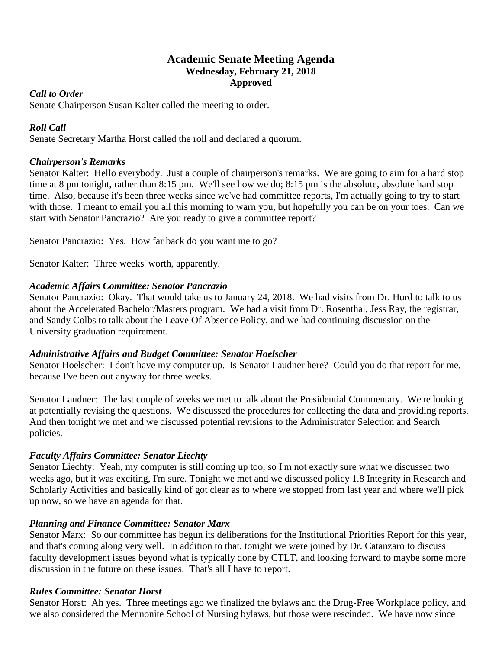# **Academic Senate Meeting Agenda Wednesday, February 21, 2018 Approved**

#### *Call to Order*

Senate Chairperson Susan Kalter called the meeting to order.

# *Roll Call*

Senate Secretary Martha Horst called the roll and declared a quorum.

#### *Chairperson's Remarks*

Senator Kalter: Hello everybody. Just a couple of chairperson's remarks. We are going to aim for a hard stop time at 8 pm tonight, rather than 8:15 pm. We'll see how we do; 8:15 pm is the absolute, absolute hard stop time. Also, because it's been three weeks since we've had committee reports, I'm actually going to try to start with those. I meant to email you all this morning to warn you, but hopefully you can be on your toes. Can we start with Senator Pancrazio? Are you ready to give a committee report?

Senator Pancrazio: Yes. How far back do you want me to go?

Senator Kalter: Three weeks' worth, apparently.

### *Academic Affairs Committee: Senator Pancrazio*

Senator Pancrazio: Okay. That would take us to January 24, 2018. We had visits from Dr. Hurd to talk to us about the Accelerated Bachelor/Masters program. We had a visit from Dr. Rosenthal, Jess Ray, the registrar, and Sandy Colbs to talk about the Leave Of Absence Policy, and we had continuing discussion on the University graduation requirement.

#### *Administrative Affairs and Budget Committee: Senator Hoelscher*

Senator Hoelscher: I don't have my computer up. Is Senator Laudner here? Could you do that report for me, because I've been out anyway for three weeks.

Senator Laudner: The last couple of weeks we met to talk about the Presidential Commentary. We're looking at potentially revising the questions. We discussed the procedures for collecting the data and providing reports. And then tonight we met and we discussed potential revisions to the Administrator Selection and Search policies.

### *Faculty Affairs Committee: Senator Liechty*

Senator Liechty: Yeah, my computer is still coming up too, so I'm not exactly sure what we discussed two weeks ago, but it was exciting, I'm sure. Tonight we met and we discussed policy 1.8 Integrity in Research and Scholarly Activities and basically kind of got clear as to where we stopped from last year and where we'll pick up now, so we have an agenda for that.

### *Planning and Finance Committee: Senator Marx*

Senator Marx: So our committee has begun its deliberations for the Institutional Priorities Report for this year, and that's coming along very well. In addition to that, tonight we were joined by Dr. Catanzaro to discuss faculty development issues beyond what is typically done by CTLT, and looking forward to maybe some more discussion in the future on these issues. That's all I have to report.

### *Rules Committee: Senator Horst*

Senator Horst: Ah yes. Three meetings ago we finalized the bylaws and the Drug-Free Workplace policy, and we also considered the Mennonite School of Nursing bylaws, but those were rescinded. We have now since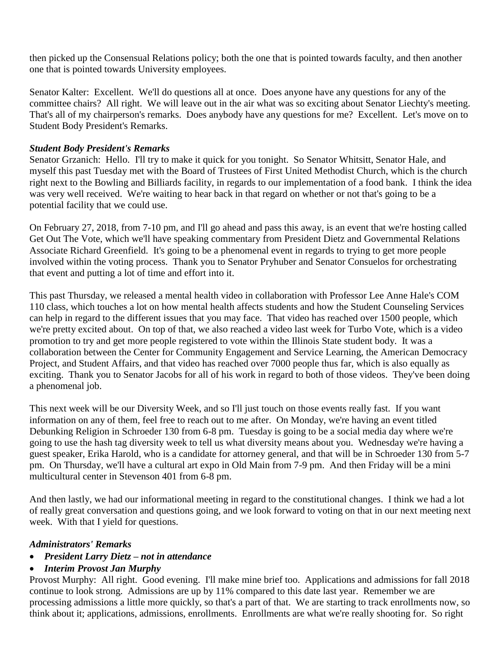then picked up the Consensual Relations policy; both the one that is pointed towards faculty, and then another one that is pointed towards University employees.

Senator Kalter: Excellent. We'll do questions all at once. Does anyone have any questions for any of the committee chairs? All right. We will leave out in the air what was so exciting about Senator Liechty's meeting. That's all of my chairperson's remarks. Does anybody have any questions for me? Excellent. Let's move on to Student Body President's Remarks.

#### *Student Body President's Remarks*

Senator Grzanich: Hello. I'll try to make it quick for you tonight. So Senator Whitsitt, Senator Hale, and myself this past Tuesday met with the Board of Trustees of First United Methodist Church, which is the church right next to the Bowling and Billiards facility, in regards to our implementation of a food bank. I think the idea was very well received. We're waiting to hear back in that regard on whether or not that's going to be a potential facility that we could use.

On February 27, 2018, from 7-10 pm, and I'll go ahead and pass this away, is an event that we're hosting called Get Out The Vote, which we'll have speaking commentary from President Dietz and Governmental Relations Associate Richard Greenfield. It's going to be a phenomenal event in regards to trying to get more people involved within the voting process. Thank you to Senator Pryhuber and Senator Consuelos for orchestrating that event and putting a lot of time and effort into it.

This past Thursday, we released a mental health video in collaboration with Professor Lee Anne Hale's COM 110 class, which touches a lot on how mental health affects students and how the Student Counseling Services can help in regard to the different issues that you may face. That video has reached over 1500 people, which we're pretty excited about. On top of that, we also reached a video last week for Turbo Vote, which is a video promotion to try and get more people registered to vote within the Illinois State student body. It was a collaboration between the Center for Community Engagement and Service Learning, the American Democracy Project, and Student Affairs, and that video has reached over 7000 people thus far, which is also equally as exciting. Thank you to Senator Jacobs for all of his work in regard to both of those videos. They've been doing a phenomenal job.

This next week will be our Diversity Week, and so I'll just touch on those events really fast. If you want information on any of them, feel free to reach out to me after. On Monday, we're having an event titled Debunking Religion in Schroeder 130 from 6-8 pm. Tuesday is going to be a social media day where we're going to use the hash tag diversity week to tell us what diversity means about you. Wednesday we're having a guest speaker, Erika Harold, who is a candidate for attorney general, and that will be in Schroeder 130 from 5-7 pm. On Thursday, we'll have a cultural art expo in Old Main from 7-9 pm. And then Friday will be a mini multicultural center in Stevenson 401 from 6-8 pm.

And then lastly, we had our informational meeting in regard to the constitutional changes. I think we had a lot of really great conversation and questions going, and we look forward to voting on that in our next meeting next week. With that I yield for questions.

### *Administrators' Remarks*

- *President Larry Dietz – not in attendance*
- *Interim Provost Jan Murphy*

Provost Murphy: All right. Good evening. I'll make mine brief too. Applications and admissions for fall 2018 continue to look strong. Admissions are up by 11% compared to this date last year. Remember we are processing admissions a little more quickly, so that's a part of that. We are starting to track enrollments now, so think about it; applications, admissions, enrollments. Enrollments are what we're really shooting for. So right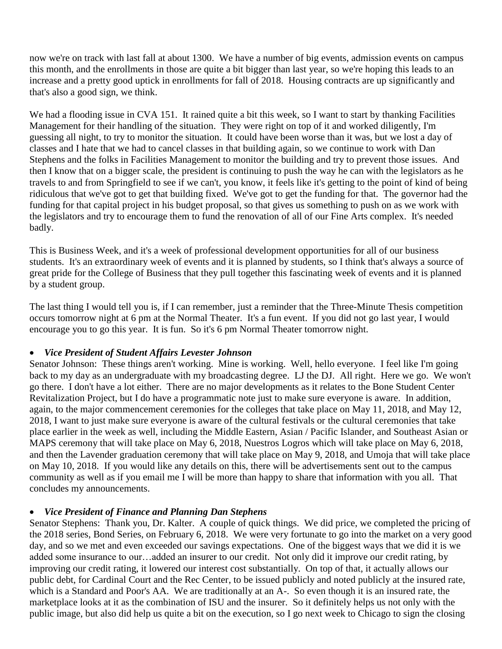now we're on track with last fall at about 1300. We have a number of big events, admission events on campus this month, and the enrollments in those are quite a bit bigger than last year, so we're hoping this leads to an increase and a pretty good uptick in enrollments for fall of 2018. Housing contracts are up significantly and that's also a good sign, we think.

We had a flooding issue in CVA 151. It rained quite a bit this week, so I want to start by thanking Facilities Management for their handling of the situation. They were right on top of it and worked diligently, I'm guessing all night, to try to monitor the situation. It could have been worse than it was, but we lost a day of classes and I hate that we had to cancel classes in that building again, so we continue to work with Dan Stephens and the folks in Facilities Management to monitor the building and try to prevent those issues. And then I know that on a bigger scale, the president is continuing to push the way he can with the legislators as he travels to and from Springfield to see if we can't, you know, it feels like it's getting to the point of kind of being ridiculous that we've got to get that building fixed. We've got to get the funding for that. The governor had the funding for that capital project in his budget proposal, so that gives us something to push on as we work with the legislators and try to encourage them to fund the renovation of all of our Fine Arts complex. It's needed badly.

This is Business Week, and it's a week of professional development opportunities for all of our business students. It's an extraordinary week of events and it is planned by students, so I think that's always a source of great pride for the College of Business that they pull together this fascinating week of events and it is planned by a student group.

The last thing I would tell you is, if I can remember, just a reminder that the Three-Minute Thesis competition occurs tomorrow night at 6 pm at the Normal Theater. It's a fun event. If you did not go last year, I would encourage you to go this year. It is fun. So it's 6 pm Normal Theater tomorrow night.

### • *Vice President of Student Affairs Levester Johnson*

Senator Johnson: These things aren't working. Mine is working. Well, hello everyone. I feel like I'm going back to my day as an undergraduate with my broadcasting degree. LJ the DJ. All right. Here we go. We won't go there. I don't have a lot either. There are no major developments as it relates to the Bone Student Center Revitalization Project, but I do have a programmatic note just to make sure everyone is aware. In addition, again, to the major commencement ceremonies for the colleges that take place on May 11, 2018, and May 12, 2018, I want to just make sure everyone is aware of the cultural festivals or the cultural ceremonies that take place earlier in the week as well, including the Middle Eastern, Asian / Pacific Islander, and Southeast Asian or MAPS ceremony that will take place on May 6, 2018, Nuestros Logros which will take place on May 6, 2018, and then the Lavender graduation ceremony that will take place on May 9, 2018, and Umoja that will take place on May 10, 2018. If you would like any details on this, there will be advertisements sent out to the campus community as well as if you email me I will be more than happy to share that information with you all. That concludes my announcements.

#### • *Vice President of Finance and Planning Dan Stephens*

Senator Stephens: Thank you, Dr. Kalter. A couple of quick things. We did price, we completed the pricing of the 2018 series, Bond Series, on February 6, 2018. We were very fortunate to go into the market on a very good day, and so we met and even exceeded our savings expectations. One of the biggest ways that we did it is we added some insurance to our…added an insurer to our credit. Not only did it improve our credit rating, by improving our credit rating, it lowered our interest cost substantially. On top of that, it actually allows our public debt, for Cardinal Court and the Rec Center, to be issued publicly and noted publicly at the insured rate, which is a Standard and Poor's AA. We are traditionally at an A-. So even though it is an insured rate, the marketplace looks at it as the combination of ISU and the insurer. So it definitely helps us not only with the public image, but also did help us quite a bit on the execution, so I go next week to Chicago to sign the closing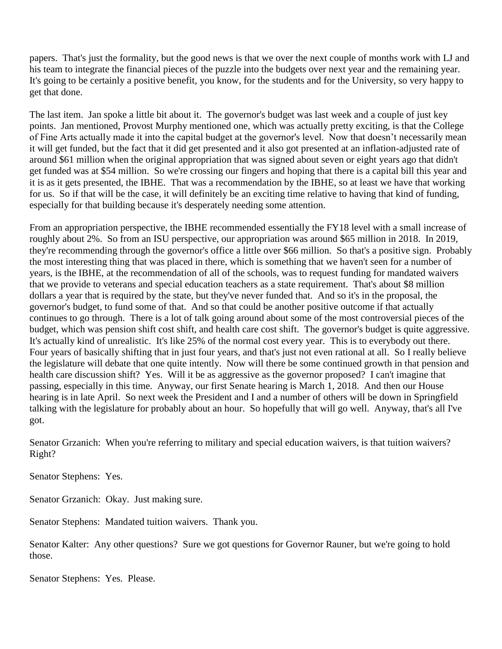papers. That's just the formality, but the good news is that we over the next couple of months work with LJ and his team to integrate the financial pieces of the puzzle into the budgets over next year and the remaining year. It's going to be certainly a positive benefit, you know, for the students and for the University, so very happy to get that done.

The last item. Jan spoke a little bit about it. The governor's budget was last week and a couple of just key points. Jan mentioned, Provost Murphy mentioned one, which was actually pretty exciting, is that the College of Fine Arts actually made it into the capital budget at the governor's level. Now that doesn't necessarily mean it will get funded, but the fact that it did get presented and it also got presented at an inflation-adjusted rate of around \$61 million when the original appropriation that was signed about seven or eight years ago that didn't get funded was at \$54 million. So we're crossing our fingers and hoping that there is a capital bill this year and it is as it gets presented, the IBHE. That was a recommendation by the IBHE, so at least we have that working for us. So if that will be the case, it will definitely be an exciting time relative to having that kind of funding, especially for that building because it's desperately needing some attention.

From an appropriation perspective, the IBHE recommended essentially the FY18 level with a small increase of roughly about 2%. So from an ISU perspective, our appropriation was around \$65 million in 2018. In 2019, they're recommending through the governor's office a little over \$66 million. So that's a positive sign. Probably the most interesting thing that was placed in there, which is something that we haven't seen for a number of years, is the IBHE, at the recommendation of all of the schools, was to request funding for mandated waivers that we provide to veterans and special education teachers as a state requirement. That's about \$8 million dollars a year that is required by the state, but they've never funded that. And so it's in the proposal, the governor's budget, to fund some of that. And so that could be another positive outcome if that actually continues to go through. There is a lot of talk going around about some of the most controversial pieces of the budget, which was pension shift cost shift, and health care cost shift. The governor's budget is quite aggressive. It's actually kind of unrealistic. It's like 25% of the normal cost every year. This is to everybody out there. Four years of basically shifting that in just four years, and that's just not even rational at all. So I really believe the legislature will debate that one quite intently. Now will there be some continued growth in that pension and health care discussion shift? Yes. Will it be as aggressive as the governor proposed? I can't imagine that passing, especially in this time. Anyway, our first Senate hearing is March 1, 2018. And then our House hearing is in late April. So next week the President and I and a number of others will be down in Springfield talking with the legislature for probably about an hour. So hopefully that will go well. Anyway, that's all I've got.

Senator Grzanich: When you're referring to military and special education waivers, is that tuition waivers? Right?

Senator Stephens: Yes.

Senator Grzanich: Okay. Just making sure.

Senator Stephens: Mandated tuition waivers. Thank you.

Senator Kalter: Any other questions? Sure we got questions for Governor Rauner, but we're going to hold those.

Senator Stephens: Yes. Please.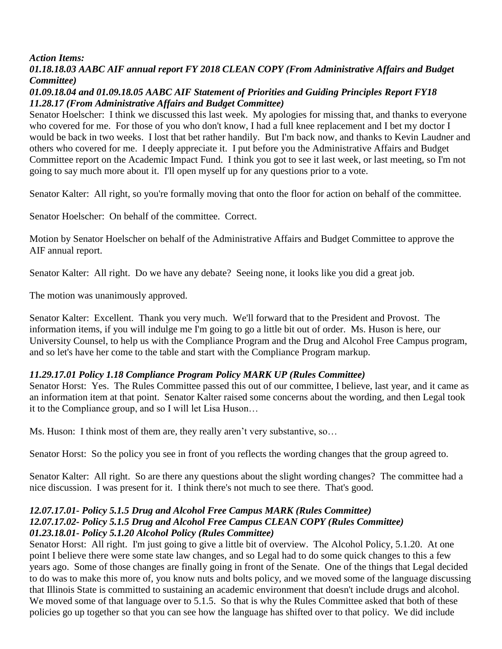*Action Items:*

# *01.18.18.03 AABC AIF annual report FY 2018 CLEAN COPY (From Administrative Affairs and Budget Committee)*

# *01.09.18.04 and 01.09.18.05 AABC AIF Statement of Priorities and Guiding Principles Report FY18 11.28.17 (From Administrative Affairs and Budget Committee)*

Senator Hoelscher: I think we discussed this last week. My apologies for missing that, and thanks to everyone who covered for me. For those of you who don't know, I had a full knee replacement and I bet my doctor I would be back in two weeks. I lost that bet rather handily. But I'm back now, and thanks to Kevin Laudner and others who covered for me. I deeply appreciate it. I put before you the Administrative Affairs and Budget Committee report on the Academic Impact Fund. I think you got to see it last week, or last meeting, so I'm not going to say much more about it. I'll open myself up for any questions prior to a vote.

Senator Kalter: All right, so you're formally moving that onto the floor for action on behalf of the committee.

Senator Hoelscher: On behalf of the committee. Correct.

Motion by Senator Hoelscher on behalf of the Administrative Affairs and Budget Committee to approve the AIF annual report.

Senator Kalter: All right. Do we have any debate? Seeing none, it looks like you did a great job.

The motion was unanimously approved.

Senator Kalter: Excellent. Thank you very much. We'll forward that to the President and Provost. The information items, if you will indulge me I'm going to go a little bit out of order. Ms. Huson is here, our University Counsel, to help us with the Compliance Program and the Drug and Alcohol Free Campus program, and so let's have her come to the table and start with the Compliance Program markup.

# *11.29.17.01 Policy 1.18 Compliance Program Policy MARK UP (Rules Committee)*

Senator Horst: Yes. The Rules Committee passed this out of our committee, I believe, last year, and it came as an information item at that point. Senator Kalter raised some concerns about the wording, and then Legal took it to the Compliance group, and so I will let Lisa Huson…

Ms. Huson: I think most of them are, they really aren't very substantive, so…

Senator Horst: So the policy you see in front of you reflects the wording changes that the group agreed to.

Senator Kalter: All right. So are there any questions about the slight wording changes? The committee had a nice discussion. I was present for it. I think there's not much to see there. That's good.

### *12.07.17.01- Policy 5.1.5 Drug and Alcohol Free Campus MARK (Rules Committee) 12.07.17.02- Policy 5.1.5 Drug and Alcohol Free Campus CLEAN COPY (Rules Committee) 01.23.18.01- Policy 5.1.20 Alcohol Policy (Rules Committee)*

Senator Horst: All right. I'm just going to give a little bit of overview. The Alcohol Policy, 5.1.20. At one point I believe there were some state law changes, and so Legal had to do some quick changes to this a few years ago. Some of those changes are finally going in front of the Senate. One of the things that Legal decided to do was to make this more of, you know nuts and bolts policy, and we moved some of the language discussing that Illinois State is committed to sustaining an academic environment that doesn't include drugs and alcohol. We moved some of that language over to 5.1.5. So that is why the Rules Committee asked that both of these policies go up together so that you can see how the language has shifted over to that policy. We did include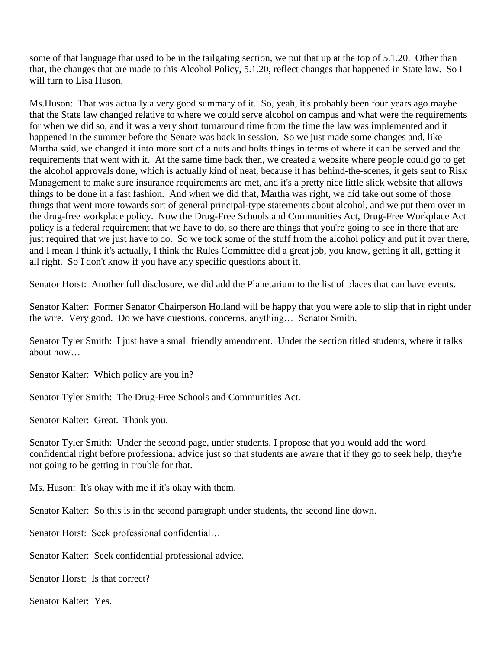some of that language that used to be in the tailgating section, we put that up at the top of 5.1.20. Other than that, the changes that are made to this Alcohol Policy, 5.1.20, reflect changes that happened in State law. So I will turn to Lisa Huson.

Ms.Huson: That was actually a very good summary of it. So, yeah, it's probably been four years ago maybe that the State law changed relative to where we could serve alcohol on campus and what were the requirements for when we did so, and it was a very short turnaround time from the time the law was implemented and it happened in the summer before the Senate was back in session. So we just made some changes and, like Martha said, we changed it into more sort of a nuts and bolts things in terms of where it can be served and the requirements that went with it. At the same time back then, we created a website where people could go to get the alcohol approvals done, which is actually kind of neat, because it has behind-the-scenes, it gets sent to Risk Management to make sure insurance requirements are met, and it's a pretty nice little slick website that allows things to be done in a fast fashion. And when we did that, Martha was right, we did take out some of those things that went more towards sort of general principal-type statements about alcohol, and we put them over in the drug-free workplace policy. Now the Drug-Free Schools and Communities Act, Drug-Free Workplace Act policy is a federal requirement that we have to do, so there are things that you're going to see in there that are just required that we just have to do. So we took some of the stuff from the alcohol policy and put it over there, and I mean I think it's actually, I think the Rules Committee did a great job, you know, getting it all, getting it all right. So I don't know if you have any specific questions about it.

Senator Horst: Another full disclosure, we did add the Planetarium to the list of places that can have events.

Senator Kalter: Former Senator Chairperson Holland will be happy that you were able to slip that in right under the wire. Very good. Do we have questions, concerns, anything… Senator Smith.

Senator Tyler Smith: I just have a small friendly amendment. Under the section titled students, where it talks about how…

Senator Kalter: Which policy are you in?

Senator Tyler Smith: The Drug-Free Schools and Communities Act.

Senator Kalter: Great. Thank you.

Senator Tyler Smith: Under the second page, under students, I propose that you would add the word confidential right before professional advice just so that students are aware that if they go to seek help, they're not going to be getting in trouble for that.

Ms. Huson: It's okay with me if it's okay with them.

Senator Kalter: So this is in the second paragraph under students, the second line down.

Senator Horst: Seek professional confidential…

Senator Kalter: Seek confidential professional advice.

Senator Horst: Is that correct?

Senator Kalter: Yes.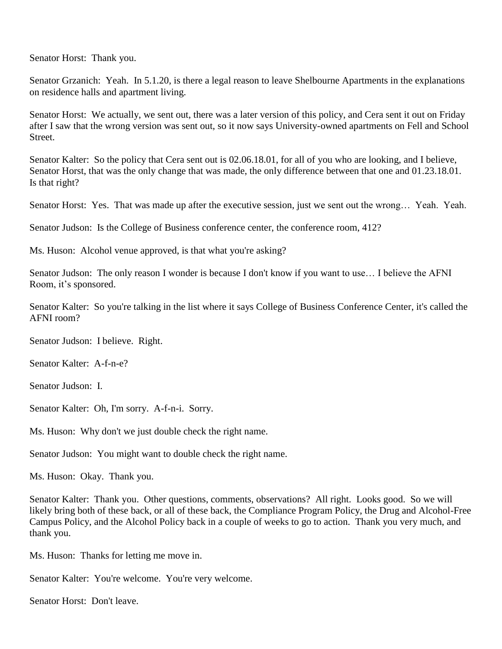Senator Horst: Thank you.

Senator Grzanich: Yeah. In 5.1.20, is there a legal reason to leave Shelbourne Apartments in the explanations on residence halls and apartment living.

Senator Horst: We actually, we sent out, there was a later version of this policy, and Cera sent it out on Friday after I saw that the wrong version was sent out, so it now says University-owned apartments on Fell and School Street.

Senator Kalter: So the policy that Cera sent out is 02.06.18.01, for all of you who are looking, and I believe, Senator Horst, that was the only change that was made, the only difference between that one and 01.23.18.01. Is that right?

Senator Horst: Yes. That was made up after the executive session, just we sent out the wrong... Yeah. Yeah.

Senator Judson: Is the College of Business conference center, the conference room, 412?

Ms. Huson: Alcohol venue approved, is that what you're asking?

Senator Judson: The only reason I wonder is because I don't know if you want to use… I believe the AFNI Room, it's sponsored.

Senator Kalter: So you're talking in the list where it says College of Business Conference Center, it's called the AFNI room?

Senator Judson: I believe. Right.

Senator Kalter: A-f-n-e?

Senator Judson: I.

Senator Kalter: Oh, I'm sorry. A-f-n-i. Sorry.

Ms. Huson: Why don't we just double check the right name.

Senator Judson: You might want to double check the right name.

Ms. Huson: Okay. Thank you.

Senator Kalter: Thank you. Other questions, comments, observations? All right. Looks good. So we will likely bring both of these back, or all of these back, the Compliance Program Policy, the Drug and Alcohol-Free Campus Policy, and the Alcohol Policy back in a couple of weeks to go to action. Thank you very much, and thank you.

Ms. Huson: Thanks for letting me move in.

Senator Kalter: You're welcome. You're very welcome.

Senator Horst: Don't leave.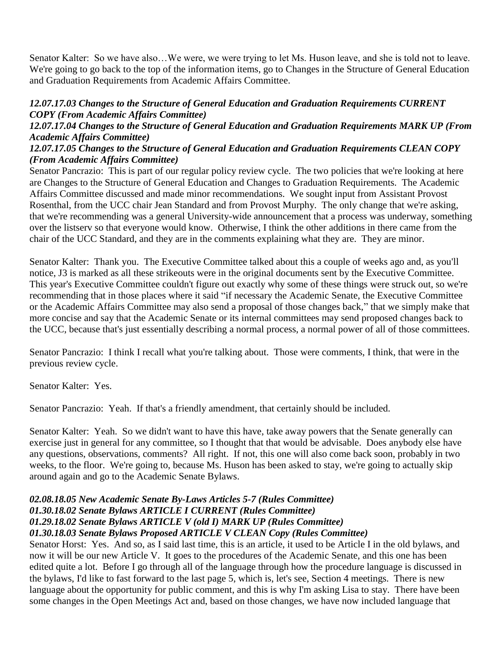Senator Kalter: So we have also…We were, we were trying to let Ms. Huson leave, and she is told not to leave. We're going to go back to the top of the information items, go to Changes in the Structure of General Education and Graduation Requirements from Academic Affairs Committee.

#### *12.07.17.03 Changes to the Structure of General Education and Graduation Requirements CURRENT COPY (From Academic Affairs Committee)*

### *12.07.17.04 Changes to the Structure of General Education and Graduation Requirements MARK UP (From Academic Affairs Committee)*

#### *12.07.17.05 Changes to the Structure of General Education and Graduation Requirements CLEAN COPY (From Academic Affairs Committee)*

Senator Pancrazio: This is part of our regular policy review cycle. The two policies that we're looking at here are Changes to the Structure of General Education and Changes to Graduation Requirements. The Academic Affairs Committee discussed and made minor recommendations. We sought input from Assistant Provost Rosenthal, from the UCC chair Jean Standard and from Provost Murphy. The only change that we're asking, that we're recommending was a general University-wide announcement that a process was underway, something over the listserv so that everyone would know. Otherwise, I think the other additions in there came from the chair of the UCC Standard, and they are in the comments explaining what they are. They are minor.

Senator Kalter: Thank you. The Executive Committee talked about this a couple of weeks ago and, as you'll notice, J3 is marked as all these strikeouts were in the original documents sent by the Executive Committee. This year's Executive Committee couldn't figure out exactly why some of these things were struck out, so we're recommending that in those places where it said "if necessary the Academic Senate, the Executive Committee or the Academic Affairs Committee may also send a proposal of those changes back," that we simply make that more concise and say that the Academic Senate or its internal committees may send proposed changes back to the UCC, because that's just essentially describing a normal process, a normal power of all of those committees.

Senator Pancrazio: I think I recall what you're talking about. Those were comments, I think, that were in the previous review cycle.

Senator Kalter: Yes.

Senator Pancrazio: Yeah. If that's a friendly amendment, that certainly should be included.

Senator Kalter: Yeah. So we didn't want to have this have, take away powers that the Senate generally can exercise just in general for any committee, so I thought that that would be advisable. Does anybody else have any questions, observations, comments? All right. If not, this one will also come back soon, probably in two weeks, to the floor. We're going to, because Ms. Huson has been asked to stay, we're going to actually skip around again and go to the Academic Senate Bylaws.

#### *02.08.18.05 New Academic Senate By-Laws Articles 5-7 (Rules Committee) 01.30.18.02 Senate Bylaws ARTICLE I CURRENT (Rules Committee) 01.29.18.02 Senate Bylaws ARTICLE V (old I) MARK UP (Rules Committee) 01.30.18.03 Senate Bylaws Proposed ARTICLE V CLEAN Copy (Rules Committee)*

Senator Horst: Yes. And so, as I said last time, this is an article, it used to be Article I in the old bylaws, and now it will be our new Article V. It goes to the procedures of the Academic Senate, and this one has been edited quite a lot. Before I go through all of the language through how the procedure language is discussed in the bylaws, I'd like to fast forward to the last page 5, which is, let's see, Section 4 meetings. There is new language about the opportunity for public comment, and this is why I'm asking Lisa to stay. There have been some changes in the Open Meetings Act and, based on those changes, we have now included language that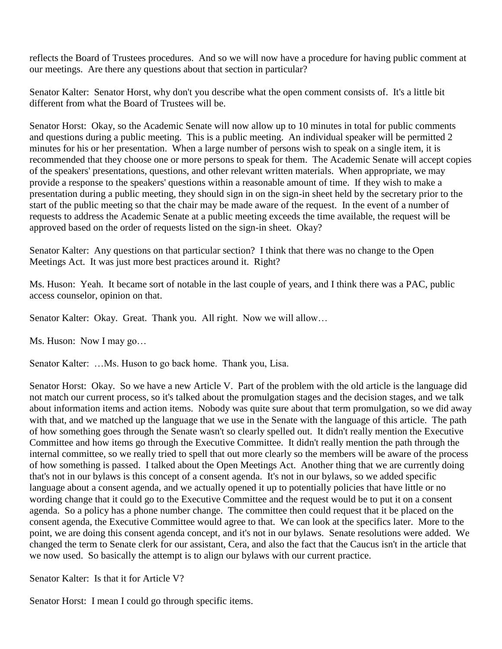reflects the Board of Trustees procedures. And so we will now have a procedure for having public comment at our meetings. Are there any questions about that section in particular?

Senator Kalter: Senator Horst, why don't you describe what the open comment consists of. It's a little bit different from what the Board of Trustees will be.

Senator Horst: Okay, so the Academic Senate will now allow up to 10 minutes in total for public comments and questions during a public meeting. This is a public meeting. An individual speaker will be permitted 2 minutes for his or her presentation. When a large number of persons wish to speak on a single item, it is recommended that they choose one or more persons to speak for them. The Academic Senate will accept copies of the speakers' presentations, questions, and other relevant written materials. When appropriate, we may provide a response to the speakers' questions within a reasonable amount of time. If they wish to make a presentation during a public meeting, they should sign in on the sign-in sheet held by the secretary prior to the start of the public meeting so that the chair may be made aware of the request. In the event of a number of requests to address the Academic Senate at a public meeting exceeds the time available, the request will be approved based on the order of requests listed on the sign-in sheet. Okay?

Senator Kalter: Any questions on that particular section? I think that there was no change to the Open Meetings Act. It was just more best practices around it. Right?

Ms. Huson: Yeah. It became sort of notable in the last couple of years, and I think there was a PAC, public access counselor, opinion on that.

Senator Kalter: Okay. Great. Thank you. All right. Now we will allow...

Ms. Huson: Now I may go…

Senator Kalter: …Ms. Huson to go back home. Thank you, Lisa.

Senator Horst: Okay. So we have a new Article V. Part of the problem with the old article is the language did not match our current process, so it's talked about the promulgation stages and the decision stages, and we talk about information items and action items. Nobody was quite sure about that term promulgation, so we did away with that, and we matched up the language that we use in the Senate with the language of this article. The path of how something goes through the Senate wasn't so clearly spelled out. It didn't really mention the Executive Committee and how items go through the Executive Committee. It didn't really mention the path through the internal committee, so we really tried to spell that out more clearly so the members will be aware of the process of how something is passed. I talked about the Open Meetings Act. Another thing that we are currently doing that's not in our bylaws is this concept of a consent agenda. It's not in our bylaws, so we added specific language about a consent agenda, and we actually opened it up to potentially policies that have little or no wording change that it could go to the Executive Committee and the request would be to put it on a consent agenda. So a policy has a phone number change. The committee then could request that it be placed on the consent agenda, the Executive Committee would agree to that. We can look at the specifics later. More to the point, we are doing this consent agenda concept, and it's not in our bylaws. Senate resolutions were added. We changed the term to Senate clerk for our assistant, Cera, and also the fact that the Caucus isn't in the article that we now used. So basically the attempt is to align our bylaws with our current practice.

Senator Kalter: Is that it for Article V?

Senator Horst: I mean I could go through specific items.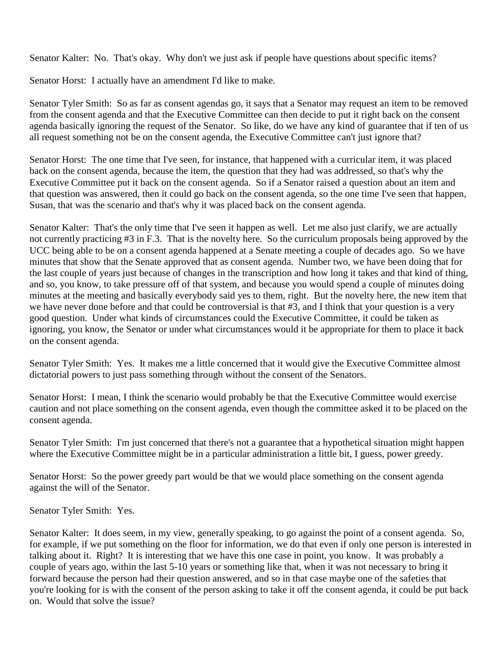Senator Kalter: No. That's okay. Why don't we just ask if people have questions about specific items?

Senator Horst: I actually have an amendment I'd like to make.

Senator Tyler Smith: So as far as consent agendas go, it says that a Senator may request an item to be removed from the consent agenda and that the Executive Committee can then decide to put it right back on the consent agenda basically ignoring the request of the Senator. So like, do we have any kind of guarantee that if ten of us all request something not be on the consent agenda, the Executive Committee can't just ignore that?

Senator Horst: The one time that I've seen, for instance, that happened with a curricular item, it was placed back on the consent agenda, because the item, the question that they had was addressed, so that's why the Executive Committee put it back on the consent agenda. So if a Senator raised a question about an item and that question was answered, then it could go back on the consent agenda, so the one time I've seen that happen, Susan, that was the scenario and that's why it was placed back on the consent agenda.

Senator Kalter: That's the only time that I've seen it happen as well. Let me also just clarify, we are actually not currently practicing #3 in F.3. That is the novelty here. So the curriculum proposals being approved by the UCC being able to be on a consent agenda happened at a Senate meeting a couple of decades ago. So we have minutes that show that the Senate approved that as consent agenda. Number two, we have been doing that for the last couple of years just because of changes in the transcription and how long it takes and that kind of thing, and so, you know, to take pressure off of that system, and because you would spend a couple of minutes doing minutes at the meeting and basically everybody said yes to them, right. But the novelty here, the new item that we have never done before and that could be controversial is that #3, and I think that your question is a very good question. Under what kinds of circumstances could the Executive Committee, it could be taken as ignoring, you know, the Senator or under what circumstances would it be appropriate for them to place it back on the consent agenda.

Senator Tyler Smith: Yes. It makes me a little concerned that it would give the Executive Committee almost dictatorial powers to just pass something through without the consent of the Senators.

Senator Horst: I mean, I think the scenario would probably be that the Executive Committee would exercise caution and not place something on the consent agenda, even though the committee asked it to be placed on the consent agenda.

Senator Tyler Smith: I'm just concerned that there's not a guarantee that a hypothetical situation might happen where the Executive Committee might be in a particular administration a little bit, I guess, power greedy.

Senator Horst: So the power greedy part would be that we would place something on the consent agenda against the will of the Senator.

Senator Tyler Smith: Yes.

Senator Kalter: It does seem, in my view, generally speaking, to go against the point of a consent agenda. So, for example, if we put something on the floor for information, we do that even if only one person is interested in talking about it. Right? It is interesting that we have this one case in point, you know. It was probably a couple of years ago, within the last 5-10 years or something like that, when it was not necessary to bring it forward because the person had their question answered, and so in that case maybe one of the safeties that you're looking for is with the consent of the person asking to take it off the consent agenda, it could be put back on. Would that solve the issue?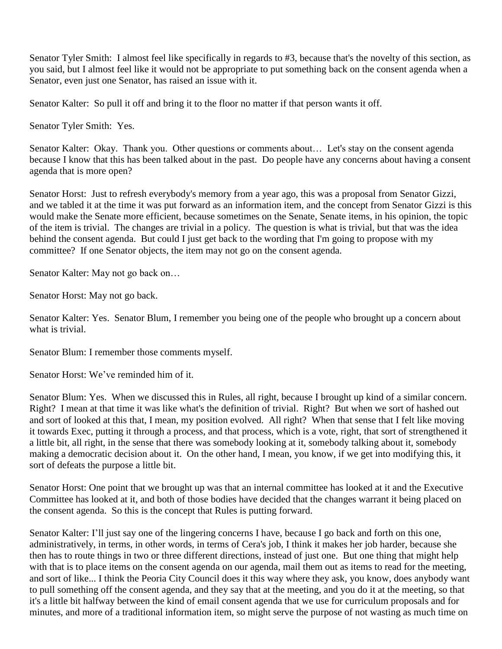Senator Tyler Smith: I almost feel like specifically in regards to #3, because that's the novelty of this section, as you said, but I almost feel like it would not be appropriate to put something back on the consent agenda when a Senator, even just one Senator, has raised an issue with it.

Senator Kalter: So pull it off and bring it to the floor no matter if that person wants it off.

Senator Tyler Smith: Yes.

Senator Kalter: Okay. Thank you. Other questions or comments about… Let's stay on the consent agenda because I know that this has been talked about in the past. Do people have any concerns about having a consent agenda that is more open?

Senator Horst: Just to refresh everybody's memory from a year ago, this was a proposal from Senator Gizzi, and we tabled it at the time it was put forward as an information item, and the concept from Senator Gizzi is this would make the Senate more efficient, because sometimes on the Senate, Senate items, in his opinion, the topic of the item is trivial. The changes are trivial in a policy. The question is what is trivial, but that was the idea behind the consent agenda. But could I just get back to the wording that I'm going to propose with my committee? If one Senator objects, the item may not go on the consent agenda.

Senator Kalter: May not go back on…

Senator Horst: May not go back.

Senator Kalter: Yes. Senator Blum, I remember you being one of the people who brought up a concern about what is trivial.

Senator Blum: I remember those comments myself.

Senator Horst: We've reminded him of it.

Senator Blum: Yes. When we discussed this in Rules, all right, because I brought up kind of a similar concern. Right? I mean at that time it was like what's the definition of trivial. Right? But when we sort of hashed out and sort of looked at this that, I mean, my position evolved. All right? When that sense that I felt like moving it towards Exec, putting it through a process, and that process, which is a vote, right, that sort of strengthened it a little bit, all right, in the sense that there was somebody looking at it, somebody talking about it, somebody making a democratic decision about it. On the other hand, I mean, you know, if we get into modifying this, it sort of defeats the purpose a little bit.

Senator Horst: One point that we brought up was that an internal committee has looked at it and the Executive Committee has looked at it, and both of those bodies have decided that the changes warrant it being placed on the consent agenda. So this is the concept that Rules is putting forward.

Senator Kalter: I'll just say one of the lingering concerns I have, because I go back and forth on this one, administratively, in terms, in other words, in terms of Cera's job, I think it makes her job harder, because she then has to route things in two or three different directions, instead of just one. But one thing that might help with that is to place items on the consent agenda on our agenda, mail them out as items to read for the meeting, and sort of like... I think the Peoria City Council does it this way where they ask, you know, does anybody want to pull something off the consent agenda, and they say that at the meeting, and you do it at the meeting, so that it's a little bit halfway between the kind of email consent agenda that we use for curriculum proposals and for minutes, and more of a traditional information item, so might serve the purpose of not wasting as much time on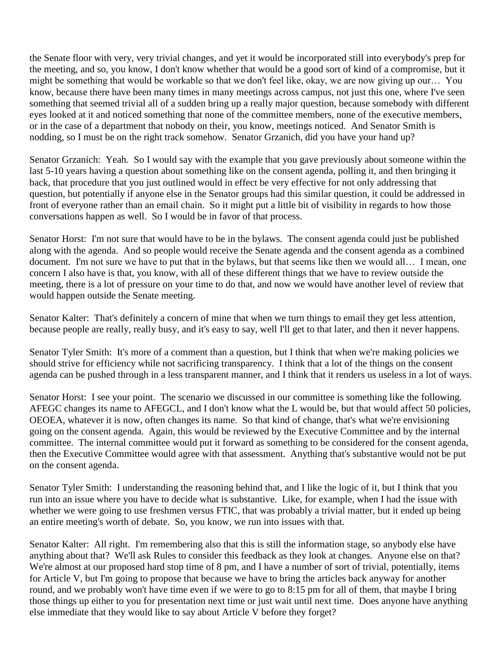the Senate floor with very, very trivial changes, and yet it would be incorporated still into everybody's prep for the meeting, and so, you know, I don't know whether that would be a good sort of kind of a compromise, but it might be something that would be workable so that we don't feel like, okay, we are now giving up our… You know, because there have been many times in many meetings across campus, not just this one, where I've seen something that seemed trivial all of a sudden bring up a really major question, because somebody with different eyes looked at it and noticed something that none of the committee members, none of the executive members, or in the case of a department that nobody on their, you know, meetings noticed. And Senator Smith is nodding, so I must be on the right track somehow. Senator Grzanich, did you have your hand up?

Senator Grzanich: Yeah. So I would say with the example that you gave previously about someone within the last 5-10 years having a question about something like on the consent agenda, polling it, and then bringing it back, that procedure that you just outlined would in effect be very effective for not only addressing that question, but potentially if anyone else in the Senator groups had this similar question, it could be addressed in front of everyone rather than an email chain. So it might put a little bit of visibility in regards to how those conversations happen as well. So I would be in favor of that process.

Senator Horst: I'm not sure that would have to be in the bylaws. The consent agenda could just be published along with the agenda. And so people would receive the Senate agenda and the consent agenda as a combined document. I'm not sure we have to put that in the bylaws, but that seems like then we would all… I mean, one concern I also have is that, you know, with all of these different things that we have to review outside the meeting, there is a lot of pressure on your time to do that, and now we would have another level of review that would happen outside the Senate meeting.

Senator Kalter: That's definitely a concern of mine that when we turn things to email they get less attention, because people are really, really busy, and it's easy to say, well I'll get to that later, and then it never happens.

Senator Tyler Smith: It's more of a comment than a question, but I think that when we're making policies we should strive for efficiency while not sacrificing transparency. I think that a lot of the things on the consent agenda can be pushed through in a less transparent manner, and I think that it renders us useless in a lot of ways.

Senator Horst: I see your point. The scenario we discussed in our committee is something like the following. AFEGC changes its name to AFEGCL, and I don't know what the L would be, but that would affect 50 policies, OEOEA, whatever it is now, often changes its name. So that kind of change, that's what we're envisioning going on the consent agenda. Again, this would be reviewed by the Executive Committee and by the internal committee. The internal committee would put it forward as something to be considered for the consent agenda, then the Executive Committee would agree with that assessment. Anything that's substantive would not be put on the consent agenda.

Senator Tyler Smith: I understanding the reasoning behind that, and I like the logic of it, but I think that you run into an issue where you have to decide what is substantive. Like, for example, when I had the issue with whether we were going to use freshmen versus FTIC, that was probably a trivial matter, but it ended up being an entire meeting's worth of debate. So, you know, we run into issues with that.

Senator Kalter: All right. I'm remembering also that this is still the information stage, so anybody else have anything about that? We'll ask Rules to consider this feedback as they look at changes. Anyone else on that? We're almost at our proposed hard stop time of 8 pm, and I have a number of sort of trivial, potentially, items for Article V, but I'm going to propose that because we have to bring the articles back anyway for another round, and we probably won't have time even if we were to go to 8:15 pm for all of them, that maybe I bring those things up either to you for presentation next time or just wait until next time. Does anyone have anything else immediate that they would like to say about Article V before they forget?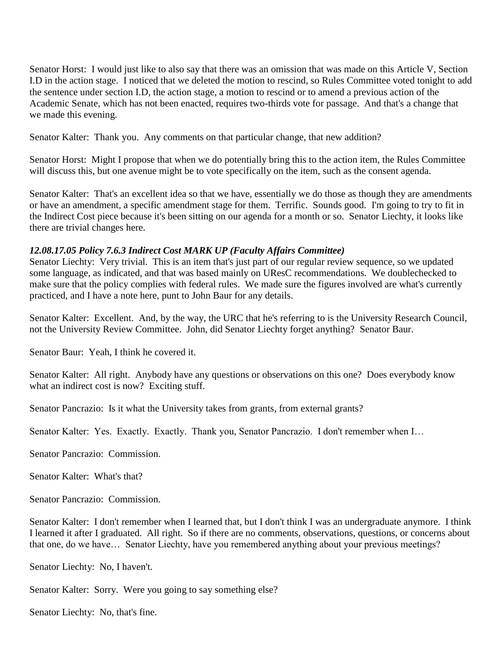Senator Horst: I would just like to also say that there was an omission that was made on this Article V, Section I.D in the action stage. I noticed that we deleted the motion to rescind, so Rules Committee voted tonight to add the sentence under section I.D, the action stage, a motion to rescind or to amend a previous action of the Academic Senate, which has not been enacted, requires two-thirds vote for passage. And that's a change that we made this evening.

Senator Kalter: Thank you. Any comments on that particular change, that new addition?

Senator Horst: Might I propose that when we do potentially bring this to the action item, the Rules Committee will discuss this, but one avenue might be to vote specifically on the item, such as the consent agenda.

Senator Kalter: That's an excellent idea so that we have, essentially we do those as though they are amendments or have an amendment, a specific amendment stage for them. Terrific. Sounds good. I'm going to try to fit in the Indirect Cost piece because it's been sitting on our agenda for a month or so. Senator Liechty, it looks like there are trivial changes here.

### *12.08.17.05 Policy 7.6.3 Indirect Cost MARK UP (Faculty Affairs Committee)*

Senator Liechty: Very trivial. This is an item that's just part of our regular review sequence, so we updated some language, as indicated, and that was based mainly on UResC recommendations. We doublechecked to make sure that the policy complies with federal rules. We made sure the figures involved are what's currently practiced, and I have a note here, punt to John Baur for any details.

Senator Kalter: Excellent. And, by the way, the URC that he's referring to is the University Research Council, not the University Review Committee. John, did Senator Liechty forget anything? Senator Baur.

Senator Baur: Yeah, I think he covered it.

Senator Kalter: All right. Anybody have any questions or observations on this one? Does everybody know what an indirect cost is now? Exciting stuff.

Senator Pancrazio: Is it what the University takes from grants, from external grants?

Senator Kalter: Yes. Exactly. Exactly. Thank you, Senator Pancrazio. I don't remember when I…

Senator Pancrazio: Commission.

Senator Kalter: What's that?

Senator Pancrazio: Commission.

Senator Kalter: I don't remember when I learned that, but I don't think I was an undergraduate anymore. I think I learned it after I graduated. All right. So if there are no comments, observations, questions, or concerns about that one, do we have… Senator Liechty, have you remembered anything about your previous meetings?

Senator Liechty: No, I haven't.

Senator Kalter: Sorry. Were you going to say something else?

Senator Liechty: No, that's fine.